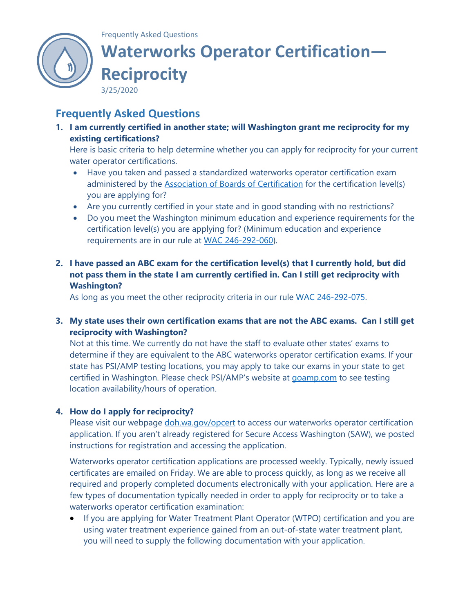

## Frequently Asked Questions **Waterworks Operator Certification— Reciprocity**

3/25/2020

## **Frequently Asked Questions**

**1. I am currently certified in another state; will Washington grant me reciprocity for my existing certifications?**

Here is basic criteria to help determine whether you can apply for reciprocity for your current water operator certifications.

- Have you taken and passed a standardized waterworks operator certification exam administered by the [Association of Boards of Certification](http://www.abccert.org/) for the certification level(s) you are applying for?
- Are you currently certified in your state and in good standing with no restrictions?
- Do you meet the Washington minimum education and experience requirements for the certification level(s) you are applying for? (Minimum education and experience requirements are in our rule at [WAC 246-292-060](https://app.leg.wa.gov/wac/default.aspx?cite=246-292-060)).
- **2. I have passed an ABC exam for the certification level(s) that I currently hold, but did not pass them in the state I am currently certified in. Can I still get reciprocity with Washington?**

As long as you meet the other reciprocity criteria in our rule [WAC 246-292-075.](https://app.leg.wa.gov/wac/default.aspx?cite=246-292-075)

## **3. My state uses their own certification exams that are not the ABC exams. Can I still get reciprocity with Washington?**

Not at this time. We currently do not have the staff to evaluate other states' exams to determine if they are equivalent to the ABC waterworks operator certification exams. If your state has PSI/AMP testing locations, you may apply to take our exams in your state to get certified in Washington. Please check PSI/AMP's website at [goamp.com](http://www.goamp.com/) to see testing location availability/hours of operation.

## **4. How do I apply for reciprocity?**

Please visit our webpage [doh.wa.gov/opcert](http://www.doh.wa.gov/opcert) to access our waterworks operator certification application. If you aren't already registered for Secure Access Washington (SAW), we posted instructions for registration and accessing the application.

Waterworks operator certification applications are processed weekly. Typically, newly issued certificates are emailed on Friday. We are able to process quickly, as long as we receive all required and properly completed documents electronically with your application. Here are a few types of documentation typically needed in order to apply for reciprocity or to take a waterworks operator certification examination:

• If you are applying for Water Treatment Plant Operator (WTPO) certification and you are using water treatment experience gained from an out-of-state water treatment plant, you will need to supply the following documentation with your application.